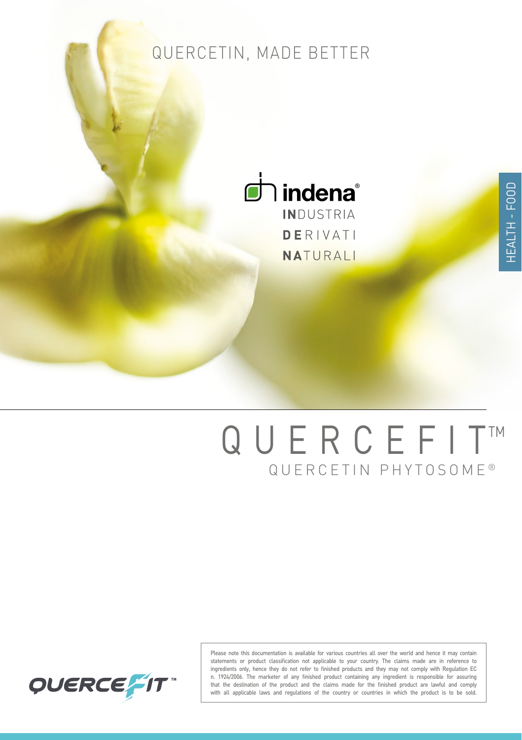### QUERCETIN, MADE BETTER



**DERIVATI** NATURALI

# QUERCETIN PHYTOSOME ® QUERCEFIT™



Please note this documentation is available for various countries all over the world and hence it may contain statements or product classification not applicable to your country. The claims made are in reference to ingredients only, hence they do not refer to finished products and they may not comply with Regulation EC n. 1924/2006. The marketer of any finished product containing any ingredient is responsible for assuring that the destination of the product and the claims made for the finished product are lawful and comply with all applicable laws and regulations of the country or countries in which the product is to be sold.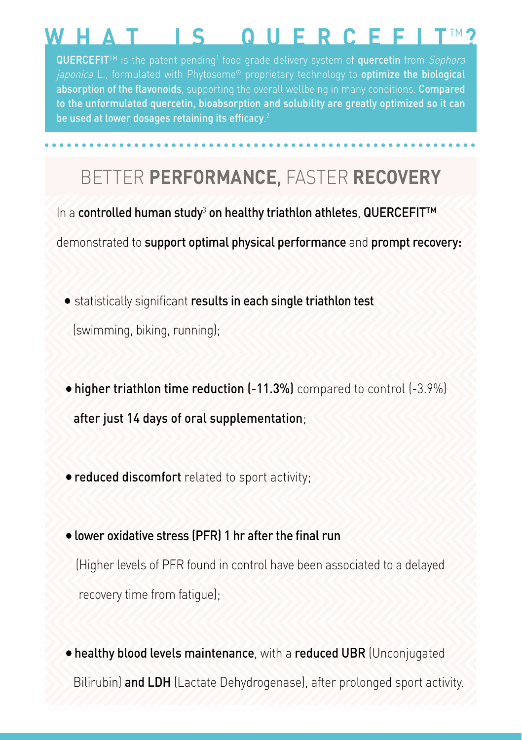## **WHAT\_IS\_QUERCEFIT**™ **?**

**QUERCEFIT™** is the patent pending<sup>1</sup> food grade delivery system of **quercetin** from *Sophora* japonica L., formulated with Phytosome® proprietary technology to optimize the biological absorption of the flavonoids, supporting the overall wellbeing in many conditions. Compared to the unformulated quercetin, bioabsorption and solubility are greatly optimized so it can be used at lower dosages retaining its efficacy. 2

### BETTER **PERFORMANCE**, FASTER **RECOVERY**

In a **controlled human study<sup>3</sup> on healthy triathlon athletes, QUERCEFIT™** demonstrated to support optimal physical performance and prompt recovery:

- statistically significant results in each single triathlon test (swimming, biking, running);
- higher triathlon time reduction (-11.3%) compared to control (-3.9%) after just 14 days of oral supplementation;
- **reduced discomfort** related to sport activity;
- lower oxidative stress (PFR) 1 hr after the final run (Higher levels of PFR found in control have been associated to a delayed recovery time from fatigue);
- healthy blood levels maintenance, with a reduced UBR (Unconjugated Bilirubin) and LDH (Lactate Dehydrogenase), after prolonged sport activity.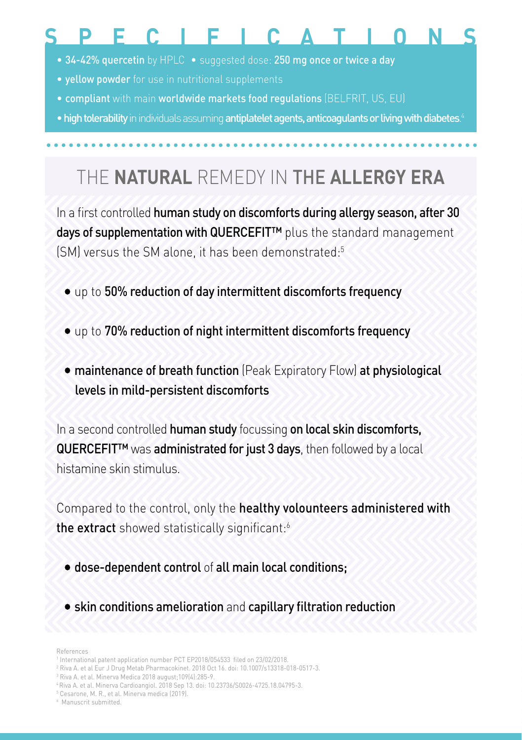### **SPECIFICATIONS**

- 34-42% quercetin by HPLC suggested dose: 250 mg once or twice a day
- yellow powder for use in nutritional supplements
- compliant with main worldwide markets food regulations (BELFRIT, US, EU)
- high tolerability in individuals assuming antiplatelet agents, anticoagulants or living with diabetes. 4

### THE **NATURAL** REMEDY IN THE **ALLERGY ERA**

In a first controlled human study on discomforts during allergy season, after 30 days of supplementation with QUERCEFIT<sup>™</sup> plus the standard management (SM) versus the SM alone, it has been demonstrated:<sup>5</sup>

- up to 50% reduction of day intermittent discomforts frequency
- up to 70% reduction of night intermittent discomforts frequency
- maintenance of breath function (Peak Expiratory Flow) at physiological levels in mild-persistent discomforts

In a second controlled human study focussing on local skin discomforts, QUERCEFIT<sup>™</sup> was administrated for just 3 days, then followed by a local histamine skin stimulus.

Compared to the control, only the healthy volounteers administered with the extract showed statistically significant:<sup>6</sup>

- dose-dependent control of all main local conditions;
- skin conditions amelioration and capillary filtration reduction

References

- 2 Riva A. et al Eur J Drug Metab Pharmacokinet. 2018 Oct 16. doi: 10.1007/s13318-018-0517-3.
- 3 Riva A. et al. Minerva Medica 2018 august;109(4):285-9.
- 4 Riva A. et al. Minerva Cardioangiol. 2018 Sep 13. doi: 10.23736/S0026-4725.18.04795-3.
- 5 Cesarone, M. R., et al. Minerva medica (2019).

<sup>&</sup>lt;sup>1</sup> International patent application number PCT EP2018/054533 filed on 23/02/2018.

<sup>6</sup> Manuscrit submitted.